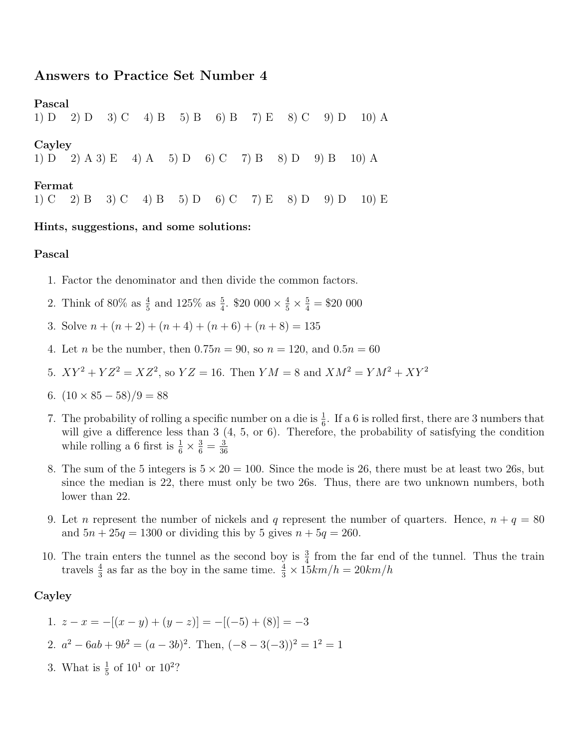# Answers to Practice Set Number 4

Pascal

1) D 2) D 3) C 4) B 5) B 6) B 7) E 8) C 9) D 10) A

Cayley

1) D 2) A 3) E 4) A 5) D 6) C 7) B 8) D 9) B 10) A

#### Fermat

1) C 2) B 3) C 4) B 5) D 6) C 7) E 8) D 9) D 10) E

#### Hints, suggestions, and some solutions:

#### Pascal

- 1. Factor the denominator and then divide the common factors.
- 2. Think of 80% as  $\frac{4}{5}$  and 125% as  $\frac{5}{4}$ . \$20 000  $\times \frac{4}{5} \times \frac{5}{4} = $20\ 000$
- 3. Solve  $n + (n+2) + (n+4) + (n+6) + (n+8) = 135$
- 4. Let *n* be the number, then  $0.75n = 90$ , so  $n = 120$ , and  $0.5n = 60$
- 5.  $XY^2 + YZ^2 = XZ^2$ , so  $YZ = 16$ . Then  $YM = 8$  and  $XM^2 = YM^2 + XY^2$
- 6.  $(10 \times 85 58)/9 = 88$
- 7. The probability of rolling a specific number on a die is  $\frac{1}{6}$ . If a 6 is rolled first, there are 3 numbers that will give a difference less than 3  $(4, 5, \text{ or } 6)$ . Therefore, the probability of satisfying the condition while rolling a 6 first is  $\frac{1}{6} \times \frac{3}{6} = \frac{3}{36}$ 36
- 8. The sum of the 5 integers is  $5 \times 20 = 100$ . Since the mode is 26, there must be at least two 26s, but since the median is 22, there must only be two 26s. Thus, there are two unknown numbers, both lower than 22.
- 9. Let *n* represent the number of nickels and q represent the number of quarters. Hence,  $n + q = 80$ and  $5n + 25q = 1300$  or dividing this by 5 gives  $n + 5q = 260$ .
- 10. The train enters the tunnel as the second boy is  $\frac{3}{4}$  from the far end of the tunnel. Thus the train travels  $\frac{4}{3}$  as far as the boy in the same time.  $\frac{4}{3} \times 15km/h = 20km/h$

## Cayley

1. 
$$
z - x = -[(x - y) + (y - z)] = -[(-5) + (8)] = -3
$$
  
2.  $a^2 - 6ab + 9b^2 = (a - 3b)^2$ . Then,  $(-8 - 3(-3))^2 = 1^2 = 1$ 

3. What is  $\frac{1}{5}$  of  $10^1$  or  $10^2$ ?